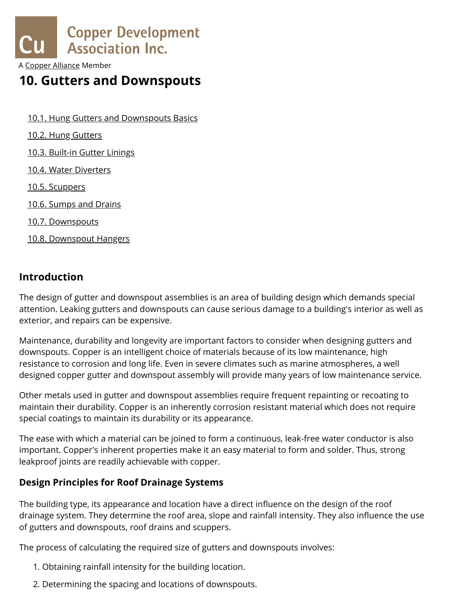

A [Copper Alliance](http://copperalliance.org/) Member

# **10. Gutters and Downspouts**

- 10.1. Hung Gutters and [Downspouts](https://www.copper.org/applications/architecture/arch_dhb/arch-details/gutters_downspouts/gutter_basics.html) Basics
- 10.2. Hung [Gutters](https://www.copper.org/applications/architecture/arch_dhb/arch-details/gutters_downspouts/hung_gutters.html)
- 10.3. [Built-in](https://www.copper.org/applications/architecture/arch_dhb/arch-details/gutters_downspouts/gutter_linings.html) Gutter Linings
- 10.4. Water [Diverters](https://www.copper.org/applications/architecture/arch_dhb/arch-details/gutters_downspouts/diverters.html)
- 10.5. [Scuppers](https://www.copper.org/applications/architecture/arch_dhb/arch-details/gutters_downspouts/scuppers.html)
- 10.6. [Sumps](https://www.copper.org/applications/architecture/arch_dhb/arch-details/gutters_downspouts/sumps_drains.html) and Drains
- 10.7. [Downspouts](https://www.copper.org/applications/architecture/arch_dhb/arch-details/gutters_downspouts/downspouts.html)
- 10.8. [Downspout](https://www.copper.org/applications/architecture/arch_dhb/arch-details/gutters_downspouts/downspout_hangers.html) Hangers

## **Introduction**

The design of gutter and downspout assemblies is an area of building design which demands special attention. Leaking gutters and downspouts can cause serious damage to a building's interior as well as exterior, and repairs can be expensive.

Maintenance, durability and longevity are important factors to consider when designing gutters and downspouts. Copper is an intelligent choice of materials because of its low maintenance, high resistance to corrosion and long life. Even in severe climates such as marine atmospheres, a well designed copper gutter and downspout assembly will provide many years of low maintenance service.

Other metals used in gutter and downspout assemblies require frequent repainting or recoating to maintain their durability. Copper is an inherently corrosion resistant material which does not require special coatings to maintain its durability or its appearance.

The ease with which a material can be joined to form a continuous, leak-free water conductor is also important. Copper's inherent properties make it an easy material to form and solder. Thus, strong leakproof joints are readily achievable with copper.

## **Design Principles for Roof Drainage Systems**

The building type, its appearance and location have a direct influence on the design of the roof drainage system. They determine the roof area, slope and rainfall intensity. They also influence the use of gutters and downspouts, roof drains and scuppers.

The process of calculating the required size of gutters and downspouts involves:

- 1. Obtaining rainfall intensity for the building location.
- https://www.copper.org/applications/architecture/arch\_dhb/arch-details/gutters\_downspouts/ 1/8 2. Determining the spacing and locations of downspouts.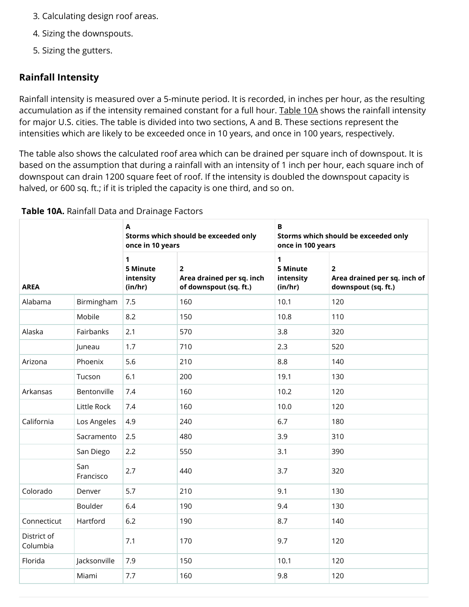- 3. Calculating design roof areas. The Downspouts International Downspouts International Downspou
	- 4. Sizing the downspouts.
	- 5. Sizing the gutters.

## **Rainfall Intensity**

Rainfall intensity is measured over a 5-minute period. It is recorded, in inches per hour, as the resulting accumulation as if the intensity remained constant for a full hour. [Table 10A](#page-1-0) shows the rainfall intensity for major U.S. cities. The table is divided into two sections, A and B. These sections represent the intensities which are likely to be exceeded once in 10 years, and once in 100 years, respectively.

The table also shows the calculated roof area which can be drained per square inch of downspout. It is based on the assumption that during a rainfall with an intensity of 1 inch per hour, each square inch of downspout can drain 1200 square feet of roof. If the intensity is doubled the downspout capacity is halved, or 600 sq. ft.; if it is tripled the capacity is one third, and so on.

|                         |                  | $\mathbf{A}$<br>once in 10 years                | Storms which should be exceeded only                                  | $\, {\bf B}$<br>Storms which should be exceeded only<br>once in 100 years |                                                                     |  |  |  |  |
|-------------------------|------------------|-------------------------------------------------|-----------------------------------------------------------------------|---------------------------------------------------------------------------|---------------------------------------------------------------------|--|--|--|--|
| <b>AREA</b>             |                  | $\mathbf 1$<br>5 Minute<br>intensity<br>(in/hr) | $\overline{2}$<br>Area drained per sq. inch<br>of downspout (sq. ft.) | 1<br>5 Minute<br>intensity<br>(in/hr)                                     | $\mathbf{2}$<br>Area drained per sq. inch of<br>downspout (sq. ft.) |  |  |  |  |
| Alabama                 | Birmingham       | 7.5                                             | 160                                                                   | 10.1                                                                      | 120                                                                 |  |  |  |  |
|                         | Mobile           | 8.2                                             | 150                                                                   | 10.8                                                                      | 110                                                                 |  |  |  |  |
| Alaska                  | Fairbanks        | 2.1                                             | 570                                                                   | 3.8                                                                       | 320                                                                 |  |  |  |  |
|                         | Juneau           | 1.7                                             | 710                                                                   | 2.3                                                                       | 520                                                                 |  |  |  |  |
| Arizona                 | Phoenix          | 5.6                                             | 210                                                                   | 8.8                                                                       | 140                                                                 |  |  |  |  |
|                         | Tucson           | 6.1                                             | 200                                                                   | 19.1                                                                      | 130                                                                 |  |  |  |  |
| Arkansas                | Bentonville      | 7.4                                             | 160                                                                   | 10.2                                                                      | 120                                                                 |  |  |  |  |
|                         | Little Rock      | 7.4                                             | 160                                                                   | 10.0                                                                      | 120                                                                 |  |  |  |  |
| California              | Los Angeles      | 4.9                                             | 240                                                                   | 6.7                                                                       | 180                                                                 |  |  |  |  |
|                         | Sacramento       | 2.5                                             | 480                                                                   | 3.9                                                                       | 310                                                                 |  |  |  |  |
|                         | San Diego        | 2.2                                             | 550                                                                   | 3.1                                                                       | 390                                                                 |  |  |  |  |
|                         | San<br>Francisco | 2.7                                             | 440                                                                   | 3.7                                                                       | 320                                                                 |  |  |  |  |
| Colorado                | Denver           | 5.7                                             | 210                                                                   | 9.1                                                                       | 130                                                                 |  |  |  |  |
|                         | Boulder          | 6.4                                             | 190                                                                   | 9.4                                                                       | 130                                                                 |  |  |  |  |
| Connecticut             | Hartford         | 6.2                                             | 190                                                                   | 8.7                                                                       | 140                                                                 |  |  |  |  |
| District of<br>Columbia |                  | 7.1                                             | 170                                                                   | 9.7                                                                       | 120                                                                 |  |  |  |  |
| Florida                 | Jacksonville     | 7.9                                             | 150                                                                   | 10.1                                                                      | 120                                                                 |  |  |  |  |
|                         | Miami            | 7.7                                             | 160                                                                   | 9.8                                                                       | 120                                                                 |  |  |  |  |

### <span id="page-1-0"></span>**Table 10A.** Rainfall Data and Drainage Factors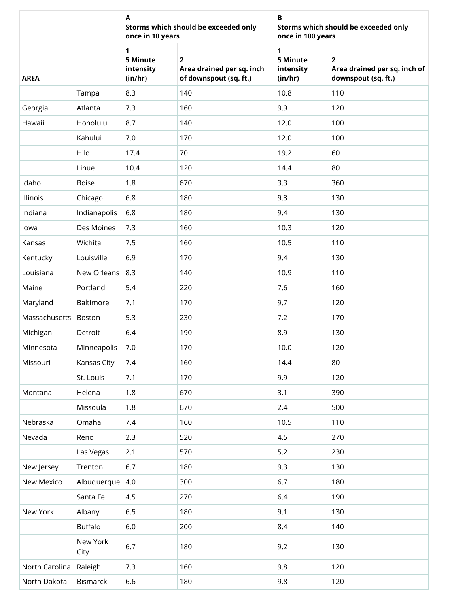|                |                  | A<br>once in 10 years                 | Storms which should be exceeded only                                  | В<br>Storms which should be exceeded only<br>once in 100 years |                                                                                |  |  |  |  |
|----------------|------------------|---------------------------------------|-----------------------------------------------------------------------|----------------------------------------------------------------|--------------------------------------------------------------------------------|--|--|--|--|
| <b>AREA</b>    |                  | 1<br>5 Minute<br>intensity<br>(in/hr) | $\overline{2}$<br>Area drained per sq. inch<br>of downspout (sq. ft.) | 1<br>5 Minute<br>intensity<br>(in/hr)                          | $\overline{\mathbf{2}}$<br>Area drained per sq. inch of<br>downspout (sq. ft.) |  |  |  |  |
|                | Tampa            | 8.3                                   | 140                                                                   | 10.8                                                           | 110                                                                            |  |  |  |  |
| Georgia        | Atlanta          | 7.3                                   | 160                                                                   | 9.9                                                            | 120                                                                            |  |  |  |  |
| Hawaii         | Honolulu         | 8.7                                   | 140                                                                   | 12.0                                                           | 100                                                                            |  |  |  |  |
|                | Kahului          | 7.0                                   | 170                                                                   | 12.0                                                           | 100                                                                            |  |  |  |  |
|                | Hilo             | 17.4                                  | 70                                                                    | 19.2                                                           | 60                                                                             |  |  |  |  |
|                | Lihue            | 10.4                                  | 120                                                                   | 14.4                                                           | 80                                                                             |  |  |  |  |
| Idaho          | Boise            | 1.8                                   | 670                                                                   | 3.3                                                            | 360                                                                            |  |  |  |  |
| Illinois       | Chicago          | 6.8                                   | 180                                                                   | 9.3                                                            | 130                                                                            |  |  |  |  |
| Indiana        | Indianapolis     | 6.8                                   | 180                                                                   | 9.4                                                            | 130                                                                            |  |  |  |  |
| lowa           | Des Moines       | 7.3                                   | 160                                                                   | 10.3                                                           | 120                                                                            |  |  |  |  |
| Kansas         | Wichita          | 7.5                                   | 160                                                                   | 10.5                                                           | 110                                                                            |  |  |  |  |
| Kentucky       | Louisville       | 6.9                                   | 170                                                                   | 9.4                                                            | 130                                                                            |  |  |  |  |
| Louisiana      | New Orleans      | 8.3                                   | 140                                                                   | 10.9                                                           | 110                                                                            |  |  |  |  |
| Maine          | Portland         | 5.4                                   | 220                                                                   | 7.6                                                            | 160                                                                            |  |  |  |  |
| Maryland       | Baltimore        | 7.1                                   | 170                                                                   | 9.7                                                            | 120                                                                            |  |  |  |  |
| Massachusetts  | Boston           | 5.3                                   | 230                                                                   | 7.2                                                            | 170                                                                            |  |  |  |  |
| Michigan       | Detroit          | 6.4                                   | 190                                                                   | 8.9                                                            | 130                                                                            |  |  |  |  |
| Minnesota      | Minneapolis      | 7.0                                   | 170                                                                   | 10.0                                                           | 120                                                                            |  |  |  |  |
| Missouri       | Kansas City      | 7.4                                   | 160                                                                   | 14.4                                                           | 80                                                                             |  |  |  |  |
|                | St. Louis        | 7.1                                   | 170                                                                   | 9.9                                                            | 120                                                                            |  |  |  |  |
| Montana        | Helena           | 1.8                                   | 670                                                                   | 3.1                                                            | 390                                                                            |  |  |  |  |
|                | Missoula         | 1.8                                   | 670                                                                   | 2.4                                                            | 500                                                                            |  |  |  |  |
| Nebraska       | Omaha            | 7.4                                   | 160                                                                   | 10.5                                                           | 110                                                                            |  |  |  |  |
| Nevada         | Reno             | 2.3                                   | 520                                                                   | 4.5                                                            | 270                                                                            |  |  |  |  |
|                | Las Vegas        | 2.1                                   | 570                                                                   | 5.2                                                            | 230                                                                            |  |  |  |  |
| New Jersey     | Trenton          | 6.7                                   | 180                                                                   | 9.3                                                            | 130                                                                            |  |  |  |  |
| New Mexico     | Albuquerque      | 4.0                                   | 300                                                                   | 6.7                                                            | 180                                                                            |  |  |  |  |
|                | Santa Fe         | 4.5                                   | 270                                                                   | 6.4                                                            | 190                                                                            |  |  |  |  |
| New York       | Albany           | 6.5                                   | 180                                                                   | 9.1                                                            | 130                                                                            |  |  |  |  |
|                | <b>Buffalo</b>   | $6.0\,$                               | 200                                                                   | 8.4                                                            | 140                                                                            |  |  |  |  |
|                | New York<br>City | 6.7                                   | 180                                                                   | 9.2                                                            | 130                                                                            |  |  |  |  |
| North Carolina | Raleigh          | 7.3                                   | 160                                                                   | 9.8                                                            | 120                                                                            |  |  |  |  |
| North Dakota   | Bismarck         | 6.6                                   | 180                                                                   | 9.8                                                            | 120                                                                            |  |  |  |  |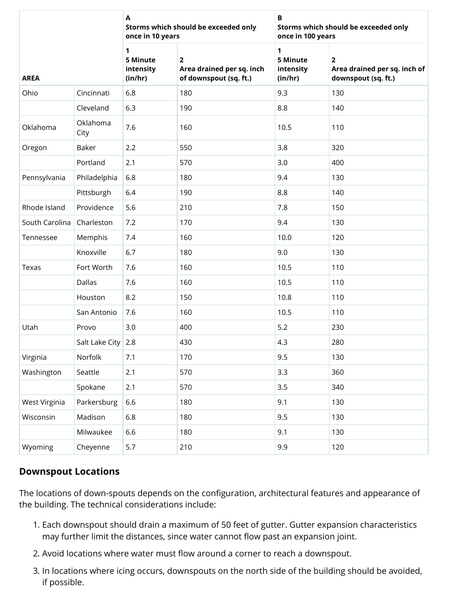|                |                  | A<br>once in 10 years                            | Storms which should be exceeded only                                  | в<br>Storms which should be exceeded only<br>once in 100 years |                                                                       |  |  |  |  |
|----------------|------------------|--------------------------------------------------|-----------------------------------------------------------------------|----------------------------------------------------------------|-----------------------------------------------------------------------|--|--|--|--|
| <b>AREA</b>    |                  | $\mathbf{1}$<br>5 Minute<br>intensity<br>(in/hr) | $\overline{2}$<br>Area drained per sq. inch<br>of downspout (sq. ft.) | 1<br>5 Minute<br>intensity<br>(in/hr)                          | $\overline{2}$<br>Area drained per sq. inch of<br>downspout (sq. ft.) |  |  |  |  |
| Ohio           | Cincinnati       | 6.8                                              | 180                                                                   | 9.3                                                            | 130                                                                   |  |  |  |  |
|                | Cleveland        | 6.3                                              | 190                                                                   | 8.8                                                            | 140                                                                   |  |  |  |  |
| Oklahoma       | Oklahoma<br>City | 7.6                                              | 160                                                                   | 10.5                                                           | 110                                                                   |  |  |  |  |
| Oregon         | Baker            | 2.2                                              | 550                                                                   | 3.8                                                            | 320                                                                   |  |  |  |  |
|                | Portland         | 2.1                                              | 570                                                                   | 3.0                                                            | 400                                                                   |  |  |  |  |
| Pennsylvania   | Philadelphia     | 6.8                                              | 180                                                                   | 9.4                                                            | 130                                                                   |  |  |  |  |
|                | Pittsburgh       | 6.4                                              | 190                                                                   | 8.8                                                            | 140                                                                   |  |  |  |  |
| Rhode Island   | Providence       | 5.6                                              | 210                                                                   | 7.8                                                            | 150                                                                   |  |  |  |  |
| South Carolina | Charleston       | 7.2                                              | 170                                                                   | 9.4                                                            | 130                                                                   |  |  |  |  |
| Tennessee      | Memphis          | 7.4                                              | 160                                                                   | 10.0                                                           | 120                                                                   |  |  |  |  |
|                | Knoxville        | 6.7                                              | 180                                                                   | 9.0                                                            | 130                                                                   |  |  |  |  |
| Texas          | Fort Worth       | 7.6                                              | 160                                                                   | 10.5                                                           | 110                                                                   |  |  |  |  |
|                | <b>Dallas</b>    | 7.6                                              | 160                                                                   | 10.5                                                           | 110                                                                   |  |  |  |  |
|                | Houston          | 8.2                                              | 150                                                                   | 10.8                                                           | 110                                                                   |  |  |  |  |
|                | San Antonio      | 7.6                                              | 160                                                                   | 10.5                                                           | 110                                                                   |  |  |  |  |
| Utah           | Provo            | 3.0                                              | 400                                                                   | 5.2                                                            | 230                                                                   |  |  |  |  |
|                | Salt Lake City   | 2.8                                              | 430                                                                   | 4.3                                                            | 280                                                                   |  |  |  |  |
| Virginia       | Norfolk          | 7.1                                              | 170                                                                   | 9.5                                                            | 130                                                                   |  |  |  |  |
| Washington     | Seattle          | 2.1                                              | 570                                                                   | 3.3                                                            | 360                                                                   |  |  |  |  |
|                | Spokane          | 2.1                                              | 570                                                                   | 3.5                                                            | 340                                                                   |  |  |  |  |
| West Virginia  | Parkersburg      | 6.6                                              | 180                                                                   | 9.1                                                            | 130                                                                   |  |  |  |  |
| Wisconsin      | Madison          | 6.8                                              | 180                                                                   | 9.5                                                            | 130                                                                   |  |  |  |  |
|                | Milwaukee        | 6.6                                              | 180                                                                   | 9.1                                                            | 130                                                                   |  |  |  |  |
| Wyoming        | Cheyenne         | 5.7                                              | 210                                                                   | 9.9                                                            | 120                                                                   |  |  |  |  |

## **Downspout Locations**

The locations of down-spouts depends on the configuration, architectural features and appearance of the building. The technical considerations include:

- 1. Each downspout should drain a maximum of 50 feet of gutter. Gutter expansion characteristics may further limit the distances, since water cannot flow past an expansion joint.
- 2. Avoid locations where water must flow around a corner to reach a downspout.
- 3. In locations where icing occurs, downspouts on the north side of the building should be avoided, if possible.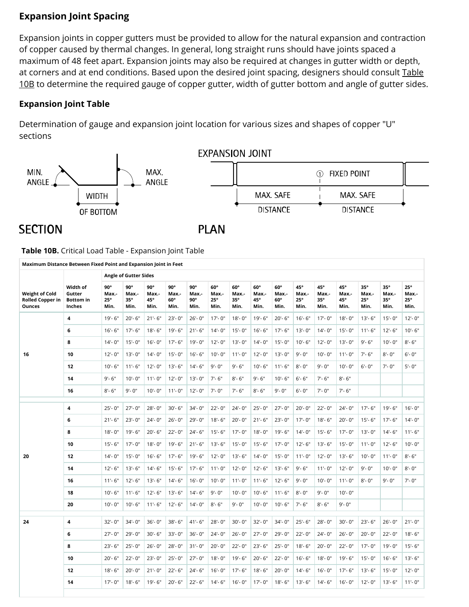## 5/2/2019 Architectural Details: Gutters and Downspouts - Intro **Expansion Joint Spacing**

Expansion joints in copper gutters must be provided to allow for the natural expansion and contraction of copper caused by thermal changes. In general, long straight runs should have joints spaced a maximum of 48 feet apart. Expansion joints may also be required at changes in gutter width or depth, at corners and at end conditions. Based upon the desired joint spacing, designers should consult Table 10B to [determine the required](#page-4-0) gauge of copper gutter, width of gutter bottom and angle of gutter sides.

## **Expansion Joint Table**

Determination of gauge and expansion joint location for various sizes and shapes of copper "U" sections



# **SECTION**

**PLAN** 

<span id="page-4-0"></span>**Table 10B.** Critical Load Table - Expansion Joint Table

|                                                                   |                                                  |                                    | <b>Angle of Gutter Sides</b>       |                             |                                           |                             |                             |                                    |                                    |                                    |                             |                                    |                             |                                           |                             |                             |
|-------------------------------------------------------------------|--------------------------------------------------|------------------------------------|------------------------------------|-----------------------------|-------------------------------------------|-----------------------------|-----------------------------|------------------------------------|------------------------------------|------------------------------------|-----------------------------|------------------------------------|-----------------------------|-------------------------------------------|-----------------------------|-----------------------------|
| <b>Weight of Cold</b><br><b>Rolled Copper in</b><br><b>Ounces</b> | Width of<br>Gutter<br><b>Bottom</b> in<br>Inches | 90°<br>Max.-<br>$25^\circ$<br>Min. | 90°<br>Max.-<br>$35^\circ$<br>Min. | 90°<br>Max.-<br>45°<br>Min. | $90^\circ$<br>Max.-<br>$60^\circ$<br>Min. | 90°<br>Max.-<br>90°<br>Min. | 60°<br>Max.-<br>25°<br>Min. | 60°<br>Max.-<br>$35^\circ$<br>Min. | $60^\circ$<br>Max.-<br>45°<br>Min. | $60^\circ$<br>Max.-<br>60°<br>Min. | 45°<br>Max.-<br>25°<br>Min. | 45°<br>Max.-<br>$35^\circ$<br>Min. | 45°<br>Max.-<br>45°<br>Min. | $35^\circ$<br>Max.-<br>$25^\circ$<br>Min. | 35°<br>Max.-<br>35°<br>Min. | 25°<br>Max.-<br>25°<br>Min. |
|                                                                   | $\overline{\mathbf{4}}$                          | $19' - 6''$                        | $20 - 6"$                          | $21 - 6"$                   | $23 - 0$ "                                | $26 - 0$ "                  | $17 - 0"$                   | $18 - 0$ "                         | $19' - 6''$                        | $20 - 6"$                          | $16 - 6"$                   | $17 - 0$ "                         | $18 - 0$ "                  | $13' - 6''$                               | $15 - 0$ "                  | $12 - 0$ "                  |
|                                                                   | 6                                                | $16 - 6"$                          | $17 - 6"$                          | $18 - 6"$                   | $19 - 6"$                                 | $21 - 6"$                   | $14 - 0$ "                  | $15 - 0$ "                         | $16 - 6"$                          | $17 - 6"$                          | $13 - 0"$                   | $14 - 0"$                          | $15 - 0$ "                  | $11 - 6"$                                 | $12 - 6"$                   | $10 - 6"$                   |
|                                                                   | 8                                                | $14 - 0$ "                         | $15 - 0$ "                         | $16 - 0$ "                  | $17 - 6"$                                 | 19'-0"                      | $12 - 0"$                   | $13 - 0"$                          | $14 - 0$ "                         | $15 - 0$ "                         | $10 - 6"$                   | $12 - 0$ "                         | $13 - 0"$                   | $9' - 6''$                                | $10 - 0$ "                  | $8 - 6"$                    |
| 16                                                                | 10                                               | $12 - 0$ "                         | $13 - 0"$                          | $14 - 0"$                   | $15 - 0$ "                                | $16 - 6"$                   | $10 - 0$ "                  | $11 - 0"$                          | $12 - 0$ "                         | $13 - 0$ "                         | $9' - 0''$                  | $10 - 0$ "                         | $11 - 0$ "                  | $7 - 6"$                                  | $8 - 0$ "                   | $6 - 0"$                    |
|                                                                   | 12                                               | $10 - 6"$                          | $11 - 6"$                          | $12 - 0$ "                  | $13 - 6"$                                 | $14 - 6"$                   | $9' - 0''$                  | $9 - 6"$                           | $10 - 6"$                          | $11 - 6"$                          | $8 - 0"$                    | $9' - 0''$                         | $10 - 0$ "                  | $6 - 0"$                                  | $7 - 0"$                    | $5 - 0"$                    |
|                                                                   | 14                                               | $9 - 6"$                           | $10 - 0$ "                         | $11 - 0"$                   | $12 - 0$ "                                | $13 - 0"$                   | $7 - 6"$                    | $8 - 6"$                           | $9' - 6''$                         | $10 - 6"$                          | $6 - 6"$                    | $7 - 6"$                           | $8 - 6"$                    |                                           |                             |                             |
|                                                                   | 16                                               | $8 - 6"$                           | $9' - 0''$                         | $10 - 0$ "                  | $11 - 0$ "                                | $12 - 0$ "                  | $7' - 0''$                  | $7' - 6''$                         | $8 - 6"$                           | $9 - 0"$                           | $6 - 0"$                    | $7 - 0"$                           | $7 - 6"$                    |                                           |                             |                             |
|                                                                   | 4                                                | $25 - 0"$                          | $27 - 0$ "                         | $28 - 0$ "                  | $30 - 6"$                                 | 34'-0"                      | $22 - 0$ "                  | $24 - 0"$                          | $25 - 0"$                          | $27 - 0$ "                         | $20 - 0$ "                  | $22 - 0$ "                         | 24'-0"                      | $17 - 6"$                                 | $19' - 6''$                 | $16 - 0"$                   |
|                                                                   | 6                                                | $21 - 6"$                          | $23 - 0$ "                         | $24 - 0"$                   | $26 - 0"$                                 | 29'-0"                      | $18 - 6"$                   | $20 - 0$ "                         | $21 - 6"$                          | $23 - 0$ "                         | $17 - 0"$                   | $18 - 6"$                          | $20 - 0$ "                  | $15 - 6"$                                 | $17 - 6"$                   | $14 - 0"$                   |
|                                                                   | 8                                                | $18 - 0$ "                         | $19 - 6"$                          | $20 - 6"$                   | $22 - 0$ "                                | $24 - 6"$                   | $15 - 6"$                   | $17 - 0$ "                         | $18 - 0$ "                         | $19' - 6''$                        | $14 - 0"$                   | $15 - 6"$                          | $17 - 0$ "                  | $13 - 0$ "                                | $14 - 6"$                   | $11 - 6"$                   |
|                                                                   | 10                                               | $15 - 6"$                          | $17 - 0$ "                         | $18 - 0$ "                  | 19'-6"                                    | $21 - 6"$                   | $13 - 6"$                   | $15 - 0$ "                         | $15 - 6"$                          | $17 - 0$ "                         | $12 - 6"$                   | $13 - 6"$                          | $15 - 0$ "                  | $11 - 0"$                                 | $12 - 6"$                   | $10 - 0"$                   |
| 20                                                                | 12                                               | $14 - 0"$                          | $15 - 0$ "                         | $16 - 6"$                   | $17 - 6"$                                 | $19' - 6''$                 | $12 - 0$ "                  | $13 - 6"$                          | $14 - 0"$                          | $15 - 0$ "                         | $11 - 0"$                   | $12 - 0$ "                         | $13 - 6"$                   | $10 - 0$ "                                | $11 - 0"$                   | $8 - 6"$                    |
|                                                                   | 14                                               | $12 - 6"$                          | $13 - 6"$                          | $14 - 6"$                   | $15 - 6"$                                 | $17 - 6"$                   | $11 - 0"$                   | $12 - 0$ "                         | $12 - 6"$                          | $13 - 6"$                          | $9' - 6''$                  | $11 - 0"$                          | $12 - 0$ "                  | $9' - 0''$                                | $10 - 0$ "                  | $8 - 0"$                    |
|                                                                   | 16                                               | $11 - 6"$                          | $12 - 6"$                          | $13 - 6"$                   | $14 - 6"$                                 | $16 - 0"$                   | $10 - 0$ "                  | $11 - 0"$                          | $11 - 6"$                          | $12 - 6"$                          | $9' - 0''$                  | $10 - 0$ "                         | $11 - 0"$                   | $8 - 0$ "                                 | $9' - 0''$                  | $7 - 0"$                    |
|                                                                   | 18                                               | $10 - 6"$                          | $11 - 6"$                          | $12 - 6"$                   | $13 - 6"$                                 | $14 - 6"$                   | $9' - 0''$                  | $10 - 0$ "                         | $10 - 6"$                          | $11 - 6"$                          | $8 - 0"$                    | $9' - 0''$                         | $10 - 0$ "                  |                                           |                             |                             |
|                                                                   | 20                                               | $10 - 0$ "                         | $10 - 6"$                          | $11 - 6"$                   | $12 - 6"$                                 | $14 - 0$ "                  | $8 - 6"$                    | $9' - 0''$                         | $10 - 0$ "                         | $10 - 6"$                          | $7 - 6"$                    | $8 - 6"$                           | $9 - 0"$                    |                                           |                             |                             |
| 24                                                                | 4                                                | $32 - 0$ "                         | $34 - 0"$                          | $36 - 0$ "                  | $38 - 6"$                                 | $41 - 6"$                   | 28'-0"                      | $30 - 0"$                          | $32 - 0$ "                         | 34'-0"                             | $25 - 6"$                   | 28'-0"                             | $30 - 0"$                   | $23 - 6"$                                 | $26 - 0"$                   | $21 - 0"$                   |
|                                                                   | 6                                                | $27 - 0$ "                         | 29'-0"                             | $30 - 6"$                   | $33 - 0"$                                 | $36 - 0$ "                  | 24'-0"                      | $26 - 0"$                          | $27 - 0$ "                         | 29'-0"                             | $22 - 0$ "                  | 24'-0"                             | $26 - 0$ "                  | $20 - 0$ "                                | $22 - 0$ "                  | $18 - 6"$                   |
|                                                                   | 8                                                | $23 - 6"$                          | $25 - 0"$                          | $26 - 0"$                   | $28 - 0$ "                                | $31 - 0"$                   | $20 - 0$ "                  | $22 - 0$ "                         | $23 - 6"$                          | $25 - 0$ "                         | $18 - 6"$                   | $20 - 0$ "                         | $22 - 0$ "                  | $17 - 0"$                                 | $19' - 0''$                 | $15 - 6"$                   |
|                                                                   | 10                                               | $20 - 6"$                          | $22 - 0$ "                         | $23 - 0$ "                  | $25 - 0"$                                 | $27 - 0$ "                  | $18 - 0$ "                  | $19' - 6''$                        | $20 - 6"$                          | $22 - 0$ "                         | $16 - 6"$                   | $18 - 0$ "                         | $19 - 6"$                   | $15 - 0$ "                                | $16 - 6"$                   | $13 - 6"$                   |
|                                                                   | 12                                               | $18 - 6"$                          | $20 - 0$ "                         | $21 - 0$ "                  | $22 - 6"$                                 | $24 - 6"$                   | $16 - 0$ "                  | $17 - 6"$                          | $18 - 6"$                          | $20 - 0$ "                         | $14 - 6"$                   | $16 - 0$ "                         | $17 - 6"$                   | $13 - 6"$                                 | $15 - 0$ "                  | $12 - 0$ "                  |
|                                                                   | 14                                               | $17 - 0$ "                         | $18 - 6"$                          | $19 - 6"$                   | $20 - 6"$                                 | $22 - 6"$                   | $14 - 6"$                   | $16 - 0"$                          | $17 - 0$ "                         | $18 - 6"$                          | $13 - 6"$                   | $14 - 6"$                          | $16 - 0$ "                  | $12 - 0$ "                                | $13 - 6"$                   | $11 - 0"$                   |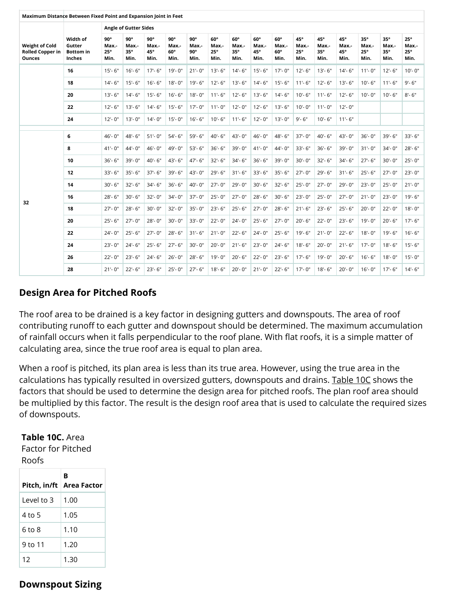| Maximum Distance Between Fixed Point and Expansion Joint in Feet  |                                                  |                                           |                                           |                             |                                    |                                           |                                           |                                    |                                    |                                    |                                    |                                    |                             |                                           |                                           |                                             |
|-------------------------------------------------------------------|--------------------------------------------------|-------------------------------------------|-------------------------------------------|-----------------------------|------------------------------------|-------------------------------------------|-------------------------------------------|------------------------------------|------------------------------------|------------------------------------|------------------------------------|------------------------------------|-----------------------------|-------------------------------------------|-------------------------------------------|---------------------------------------------|
|                                                                   |                                                  |                                           | <b>Angle of Gutter Sides</b>              |                             |                                    |                                           |                                           |                                    |                                    |                                    |                                    |                                    |                             |                                           |                                           |                                             |
| <b>Weight of Cold</b><br><b>Rolled Copper in</b><br><b>Ounces</b> | Width of<br>Gutter<br><b>Bottom</b> in<br>Inches | $90^\circ$<br>Max.-<br>$25^\circ$<br>Min. | $90^\circ$<br>Max.-<br>$35^\circ$<br>Min. | 90°<br>Max.-<br>45°<br>Min. | $90^\circ$<br>Max.-<br>60°<br>Min. | $90^\circ$<br>Max.-<br>$90^\circ$<br>Min. | $60^\circ$<br>Max.-<br>$25^\circ$<br>Min. | 60°<br>Max.-<br>$35^\circ$<br>Min. | $60^\circ$<br>Max.-<br>45°<br>Min. | 60°<br>Max.-<br>$60^\circ$<br>Min. | 45°<br>Max.-<br>$25^\circ$<br>Min. | 45°<br>Max.-<br>$35^\circ$<br>Min. | 45°<br>Max.-<br>45°<br>Min. | $35^\circ$<br>Max.-<br>$25^\circ$<br>Min. | $35^\circ$<br>Max.-<br>$35^\circ$<br>Min. | $25^\circ$<br>Max.-<br>$25^{\circ}$<br>Min. |
|                                                                   | 16                                               | $15 - 6"$                                 | $16 - 6"$                                 | $17 - 6"$                   | $19 - 0$ "                         | $21 - 0$ "                                | $13 - 6"$                                 | $14 - 6"$                          | $15 - 6"$                          | $17 - 0$ "                         | $12 - 6"$                          | $13 - 6"$                          | $14 - 6"$                   | $11 - 0$ "                                | $12 - 6"$                                 | $10 - 0$ "                                  |
|                                                                   | 18                                               | $14 - 6"$                                 | $15 - 6"$                                 | $16 - 6"$                   | $18 - 0$ "                         | $19' - 6''$                               | $12 - 6"$                                 | $13 - 6"$                          | $14 - 6"$                          | $15 - 6"$                          | $11 - 6"$                          | $12 - 6"$                          | $13 - 6"$                   | $10 - 6"$                                 | $11 - 6"$                                 | $9 - 6"$                                    |
|                                                                   | 20                                               | $13 - 6"$                                 | $14 - 6"$                                 | $15 - 6"$                   | $16 - 6"$                          | $18 - 0$ "                                | $11 - 6"$                                 | $12 - 6"$                          | $13 - 6"$                          | $14 - 6"$                          | $10 - 6"$                          | $11 - 6"$                          | $12 - 6"$                   | $10 - 0$ "                                | $10 - 6"$                                 | $8 - 6"$                                    |
|                                                                   | 22                                               | $12 - 6"$                                 | $13 - 6"$                                 | $14 - 6"$                   | $15 - 6"$                          | $17 - 0$ "                                | $11 - 0$ "                                | $12 - 0$ "                         | $12 - 6"$                          | $13 - 6"$                          | $10 - 0$ "                         | $11 - 0$ "                         | $12 - 0$ "                  |                                           |                                           |                                             |
|                                                                   | 24                                               | $12 - 0$ "                                | $13 - 0"$                                 | $14 - 0"$                   | $15 - 0$ "                         | $16 - 6"$                                 | $10 - 6"$                                 | $11 - 6"$                          | $12 - 0$ "                         | $13 - 0$ "                         | $9 - 6"$                           | $10 - 6"$                          | $11 - 6"$                   |                                           |                                           |                                             |
|                                                                   | 6                                                | $46 - 0$ "                                | 48'-6"                                    | $51 - 0$ "                  | $54 - 6"$                          | 59'-6"                                    | 40'-6"                                    | 43'-0"                             | 46'-0"                             | 48'-6"                             | 37'-0"                             | 40'-6"                             | 43'-0"                      | $36 - 0"$                                 | $39 - 6"$                                 | $33 - 6"$                                   |
|                                                                   | 8                                                | 41'-0"                                    | 44'-0"                                    | $46 - 0$ "                  | 49'-0"                             | $53 - 6"$                                 | $36 - 6"$                                 | 39'-0"                             | $41 - 0$ "                         | 44'-0"                             | 33'-6"                             | $36 - 6"$                          | 39'-0"                      | $31 - 0"$                                 | 34'-0"                                    | $28 - 6"$                                   |
|                                                                   | 10                                               | $36 - 6"$                                 | 39'-0"                                    | 40'-6"                      | 43'-6"                             | 47'-6"                                    | $32 - 6"$                                 | 34'-6"                             | $36 - 6"$                          | 39'-0"                             | 30'-0"                             | $32 - 6"$                          | 34'-6"                      | $27 - 6"$                                 | $30 - 0$ "                                | $25 - 0$ "                                  |
|                                                                   | 12                                               | $33 - 6"$                                 | $35 - 6"$                                 | $37 - 6"$                   | 39'-6"                             | $43 - 0$ "                                | $29 - 6"$                                 | $31 - 6"$                          | $33 - 6"$                          | 35'-6"                             | $27 - 0$ "                         | 29'-6"                             | $31 - 6"$                   | $25 - 6"$                                 | $27 - 0$ "                                | $23 - 0$ "                                  |
|                                                                   | 14                                               | $30 - 6"$                                 | $32 - 6"$                                 | 34'-6"                      | $36 - 6"$                          | 40'-0"                                    | $27 - 0$ "                                | 29'-0"                             | $30 - 6"$                          | $32 - 6"$                          | 25'-0"                             | $27 - 0$ "                         | 29'-0"                      | $23 - 0$ "                                | $25 - 0$ "                                | $21 - 0"$                                   |
|                                                                   | 16                                               | $28 - 6"$                                 | $30 - 6"$                                 | $32 - 0$ "                  | 34'-0"                             | $37 - 0$ "                                | $25 - 0$ "                                | $27 - 0$ "                         | $28 - 6"$                          | $30 - 6"$                          | $23 - 0$ "                         | $25 - 0$ "                         | $27 - 0$ "                  | $21 - 0$ "                                | $23 - 0$ "                                | $19 - 6"$                                   |
| 32                                                                | 18                                               | $27 - 0$ "                                | $28 - 6"$                                 | $30 - 0$ "                  | $32 - 0$ "                         | $35 - 0$ "                                | $23 - 6"$                                 | $25 - 6"$                          | $27 - 0$ "                         | 28'-6"                             | $21 - 6"$                          | $23 - 6"$                          | $25 - 6"$                   | $20 - 0$ "                                | $22 - 0$ "                                | $18 - 0"$                                   |
|                                                                   | 20                                               | $25 - 6"$                                 | $27 - 0$ "                                | 28'-0"                      | $30 - 0$ "                         | $33 - 0"$                                 | $22 - 0$ "                                | $24 - 0$ "                         | $25 - 6"$                          | $27 - 0$ "                         | $20 - 6"$                          | $22 - 0$ "                         | $23 - 6"$                   | 19'-0"                                    | $20 - 6"$                                 | $17 - 6"$                                   |
|                                                                   | 22                                               | $24 - 0$ "                                | $25 - 6"$                                 | $27 - 0$ "                  | $28 - 6"$                          | $31 - 6"$                                 | $21 - 0"$                                 | $22 - 6"$                          | $24 - 0$ "                         | $25 - 6"$                          | 19'-6"                             | $21 - 0$ "                         | $22 - 6"$                   | $18 - 0$ "                                | $19 - 6"$                                 | $16 - 6"$                                   |
|                                                                   | 24                                               | $23 - 0$ "                                | $24 - 6"$                                 | $25 - 6"$                   | $27 - 6"$                          | $30 - 0"$                                 | $20 - 0$ "                                | $21 - 6"$                          | $23 - 0$ "                         | $24 - 6"$                          | $18 - 6"$                          | $20 - 0$ "                         | $21 - 6"$                   | $17 - 0$ "                                | $18 - 6"$                                 | $15 - 6"$                                   |
|                                                                   | 26                                               | $22 - 0$ "                                | $23 - 6"$                                 | $24 - 6"$                   | $26 - 0$ "                         | $28 - 6"$                                 | 19'-0"                                    | $20 - 6"$                          | $22 - 0$ "                         | $23 - 6"$                          | $17 - 6"$                          | 19'-0"                             | $20 - 6"$                   | $16 - 6"$                                 | $18 - 0$ "                                | $15 - 0"$                                   |
|                                                                   | 28                                               | $21 - 0$ "                                | $22 - 6"$                                 | $23 - 6"$                   | $25 - 0$ "                         | $27 - 6"$                                 | $18 - 6"$                                 | $20 - 0$ "                         | $21 - 0$ "                         | $22 - 6"$                          | $17 - 0$ "                         | $18 - 6"$                          | $20 - 0$ "                  | $16 - 0$ "                                | $17 - 6"$                                 | $14 - 6"$                                   |

## **Design Area for Pitched Roofs**

The roof area to be drained is a key factor in designing gutters and downspouts. The area of roof contributing runoff to each gutter and downspout should be determined. The maximum accumulation of rainfall occurs when it falls perpendicular to the roof plane. With flat roofs, it is a simple matter of calculating area, since the true roof area is equal to plan area.

When a roof is pitched, its plan area is less than its true area. However, using the true area in the calculations has typically resulted in oversized gutters, downspouts and drains. [Table 10C](#page-5-0) shows the factors that should be used to determine the design area for pitched roofs. The plan roof area should be multiplied by this factor. The result is the design roof area that is used to calculate the required sizes of downspouts.

### <span id="page-5-0"></span>**Table 10C.** Area

Factor for Pitched Roofs

|            | в<br>Pitch, in/ft   Area Factor |
|------------|---------------------------------|
| Level to 3 | 1.00                            |
| 4 to 5     | 1.05                            |
| 6 to 8     | 1.10                            |
| 9 to 11    | 1.20                            |
| 12         | 1.30                            |

#### https://www.copper.org/applications/architecture/arch\_dhb/arch-details/gutters\_downspouts/ 6/8 **Downspout Sizing**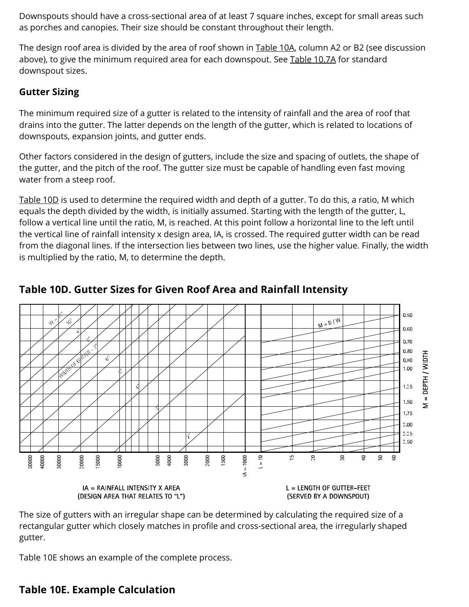Downspouts should have a cross-sectional area of at least 7 square inches, except for small areas such as porches and canopies. Their size should be constant throughout their length.

The design roof area is divided by the area of roof shown in [Table 10A](#page-1-0), column A2 or B2 (see discussion above), to give the minimum required area for each downspout. See [Table 10.7A](https://www.copper.org/applications/architecture/arch_dhb/arch-details/gutters_downspouts/downspouts.html) for standard downspout sizes.

## **Gutter Sizing**

The minimum required size of a gutter is related to the intensity of rainfall and the area of roof that drains into the gutter. The latter depends on the length of the gutter, which is related to locations of downspouts, expansion joints, and gutter ends.

Other factors considered in the design of gutters, include the size and spacing of outlets, the shape of the gutter, and the pitch of the roof. The gutter size must be capable of handling even fast moving water from a steep roof.

[Table 10D](#page-6-0) is used to determine the required width and depth of a gutter. To do this, a ratio, M which equals the depth divided by the width, is initially assumed. Starting with the length of the gutter, L, follow a vertical line until the ratio, M, is reached. At this point follow a horizontal line to the left until the vertical line of rainfall intensity x design area, IA, is crossed. The required gutter width can be read from the diagonal lines. If the intersection lies between two lines, use the higher value. Finally, the width is multiplied by the ratio, M, to determine the depth.



<span id="page-6-0"></span>**Table 10D. Gutter Sizes for Given Roof Area and Rainfall Intensity**

The size of gutters with an irregular shape can be determined by calculating the required size of a rectangular gutter which closely matches in profile and cross-sectional area, the irregularly shaped gutter.

Table 10E shows an example of the complete process.

## https://www.copper.org/applications/architecture/arch\_dhb/arch-details/gutters\_downspouts/ 7/8 **Table 10E. Example Calculation**